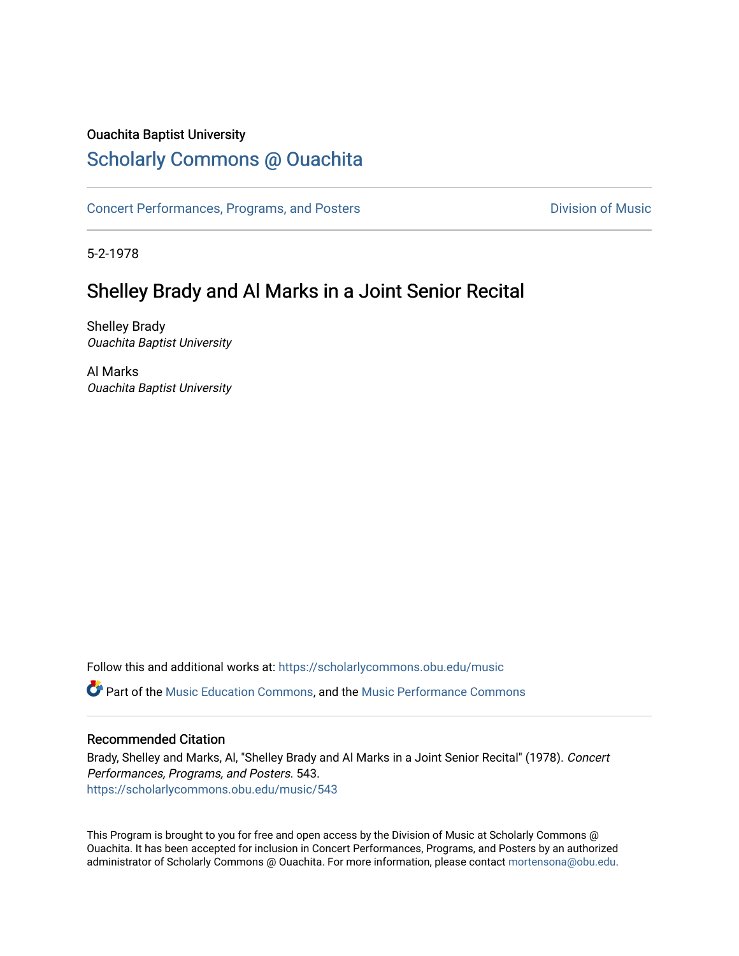### Ouachita Baptist University

### [Scholarly Commons @ Ouachita](https://scholarlycommons.obu.edu/)

[Concert Performances, Programs, and Posters](https://scholarlycommons.obu.edu/music) **Division of Music** Division of Music

5-2-1978

### Shelley Brady and Al Marks in a Joint Senior Recital

Shelley Brady Ouachita Baptist University

Al Marks Ouachita Baptist University

Follow this and additional works at: [https://scholarlycommons.obu.edu/music](https://scholarlycommons.obu.edu/music?utm_source=scholarlycommons.obu.edu%2Fmusic%2F543&utm_medium=PDF&utm_campaign=PDFCoverPages)  Part of the [Music Education Commons,](http://network.bepress.com/hgg/discipline/1246?utm_source=scholarlycommons.obu.edu%2Fmusic%2F543&utm_medium=PDF&utm_campaign=PDFCoverPages) and the [Music Performance Commons](http://network.bepress.com/hgg/discipline/1128?utm_source=scholarlycommons.obu.edu%2Fmusic%2F543&utm_medium=PDF&utm_campaign=PDFCoverPages) 

#### Recommended Citation

Brady, Shelley and Marks, Al, "Shelley Brady and Al Marks in a Joint Senior Recital" (1978). Concert Performances, Programs, and Posters. 543. [https://scholarlycommons.obu.edu/music/543](https://scholarlycommons.obu.edu/music/543?utm_source=scholarlycommons.obu.edu%2Fmusic%2F543&utm_medium=PDF&utm_campaign=PDFCoverPages) 

This Program is brought to you for free and open access by the Division of Music at Scholarly Commons @ Ouachita. It has been accepted for inclusion in Concert Performances, Programs, and Posters by an authorized administrator of Scholarly Commons @ Ouachita. For more information, please contact [mortensona@obu.edu](mailto:mortensona@obu.edu).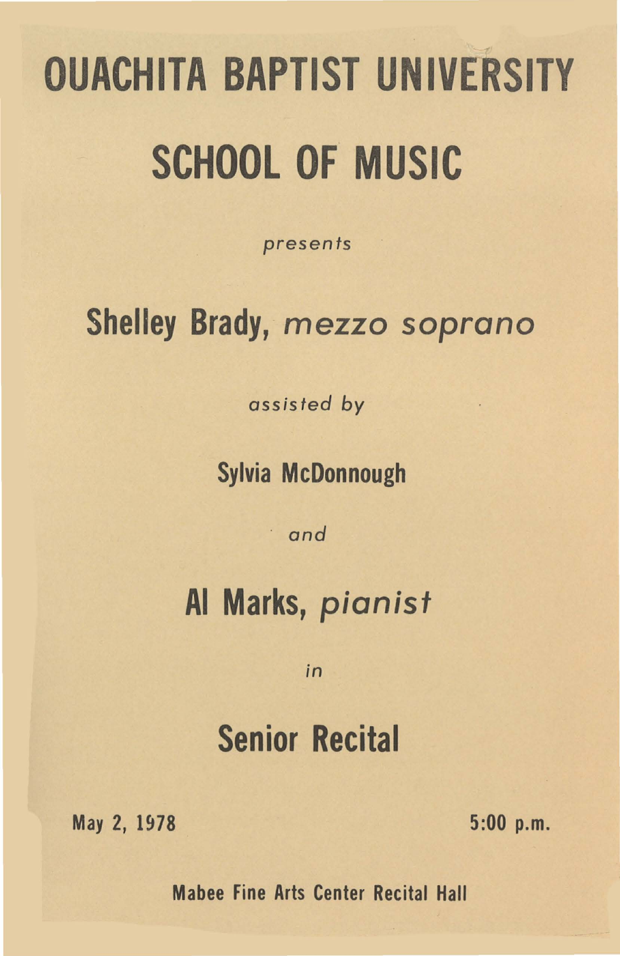# OUACHITA BAPTIST UNIVERSITY SCHOOL OF MUSIC

*presents* 

### Shelley Brady, mezzo soprano

*assisted by* 

Sylvia McDonnough

· *and* 

### AI Marks, pianist

*in* 

## Senior Recital

May 2, 1978 5:00 p.m.

Mabee Fine Arts Center Recital Hall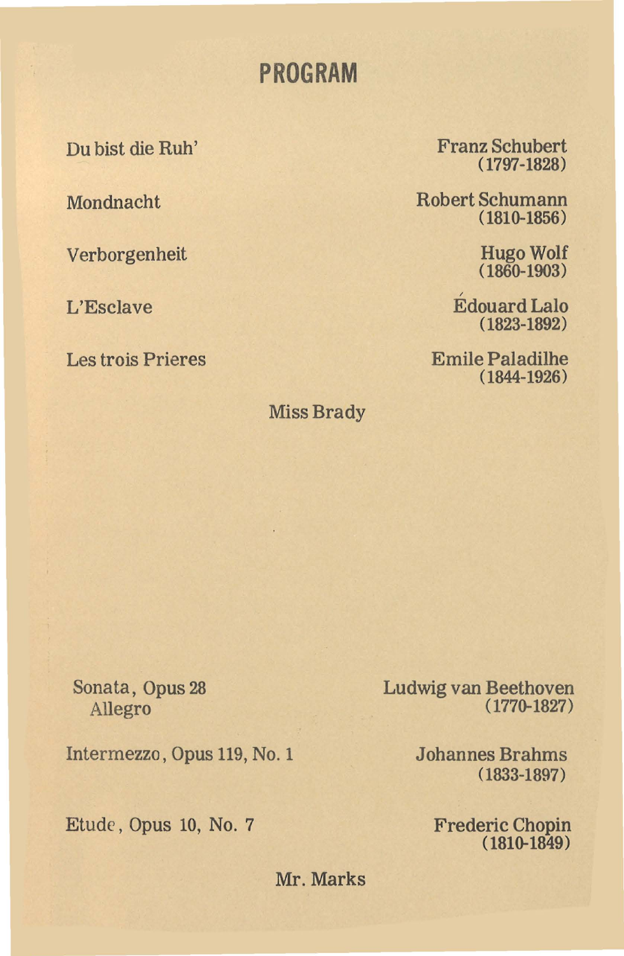### **PROGRAM**

Du bist die Ruh'

Mondnacht

Verborgenheit

L'Esclave

Les trois Prieres

Franz Schubert (1797-1828)

Robert Schumann (181Q-1856)

> Hugo Wolf  $(1860 - 1903)$

/ Edouard Lalo (1823-1892)

Emile Paladilhe ( 1844-1926)

Miss Brady

Sonata, Opus 28 Allegro

Intermezzo, Opus 119, No. 1

Etude, Opus 10, No. 7

Ludwig van Beethoven (177Q-1827)

> Johannes Brahms (1833-1897)

> > Frederic Chopin  $(1810 - 1849)$

Mr. Marks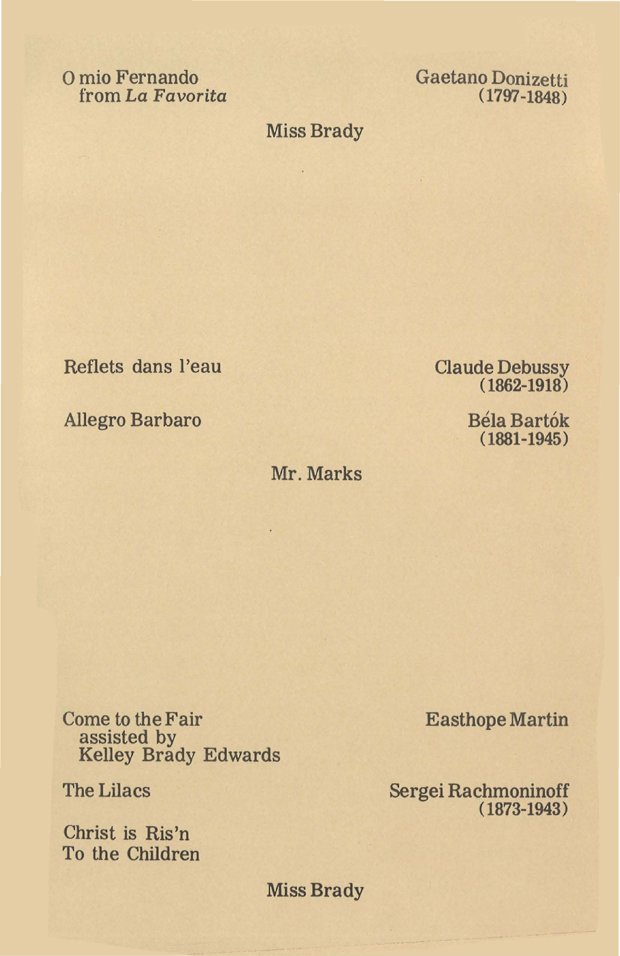0 mio Fernando from *La Favorita*  Gaetano Donizetti (1797-1848)

### Miss Brady

 $\sim$ 

Reflets dans l'eau

Allegro Barbaro

Mr. Marks

V

Come to the Fair assisted by Kelley Brady Edwards

The Lilacs

Christ is Ris'n To the Children Easthope Martin

Sergei Rachmoninoff (1873-1943)

Miss Brady

Claude Debussy ( 1862-1918)

> Bela Bartok (1881-1945)